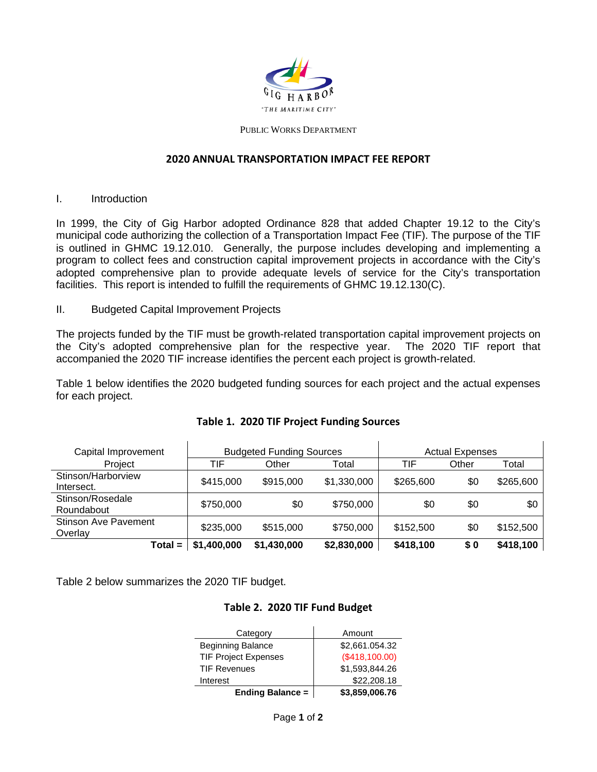

#### PUBLIC WORKS DEPARTMENT

#### **2020 ANNUAL TRANSPORTATION IMPACT FEE REPORT**

I. Introduction

In 1999, the City of Gig Harbor adopted Ordinance 828 that added Chapter 19.12 to the City's municipal code authorizing the collection of a Transportation Impact Fee (TIF). The purpose of the TIF is outlined in GHMC 19.12.010. Generally, the purpose includes developing and implementing a program to collect fees and construction capital improvement projects in accordance with the City's adopted comprehensive plan to provide adequate levels of service for the City's transportation facilities. This report is intended to fulfill the requirements of GHMC 19.12.130(C).

II. Budgeted Capital Improvement Projects

The projects funded by the TIF must be growth-related transportation capital improvement projects on the City's adopted comprehensive plan for the respective year. The 2020 TIF report that accompanied the 2020 TIF increase identifies the percent each project is growth-related.

Table 1 below identifies the 2020 budgeted funding sources for each project and the actual expenses for each project.

| Capital Improvement              | <b>Budgeted Funding Sources</b> |             | <b>Actual Expenses</b> |           |       |           |
|----------------------------------|---------------------------------|-------------|------------------------|-----------|-------|-----------|
| Project                          | TIF                             | Other       | Total                  | TIF       | Other | Total     |
| Stinson/Harborview<br>Intersect. | \$415,000                       | \$915,000   | \$1,330,000            | \$265,600 | \$0   | \$265,600 |
| Stinson/Rosedale<br>Roundabout   | \$750,000                       | \$0         | \$750,000              | \$0       | \$0   | \$0       |
| Stinson Ave Pavement<br>Overlay  | \$235,000                       | \$515,000   | \$750,000              | \$152,500 | \$0   | \$152,500 |
| $Total =$                        | \$1,400,000                     | \$1,430,000 | \$2,830,000            | \$418,100 | \$0   | \$418,100 |

#### **Table 1. 2020 TIF Project Funding Sources**

Table 2 below summarizes the 2020 TIF budget.

#### **Table 2. 2020 TIF Fund Budget**

| Category                    | Amount         |  |  |
|-----------------------------|----------------|--|--|
| <b>Beginning Balance</b>    | \$2,661.054.32 |  |  |
| <b>TIF Project Expenses</b> | (\$418,100.00) |  |  |
| <b>TIF Revenues</b>         | \$1,593,844.26 |  |  |
| Interest                    | \$22,208.18    |  |  |
| <b>Ending Balance =</b>     | \$3,859,006.76 |  |  |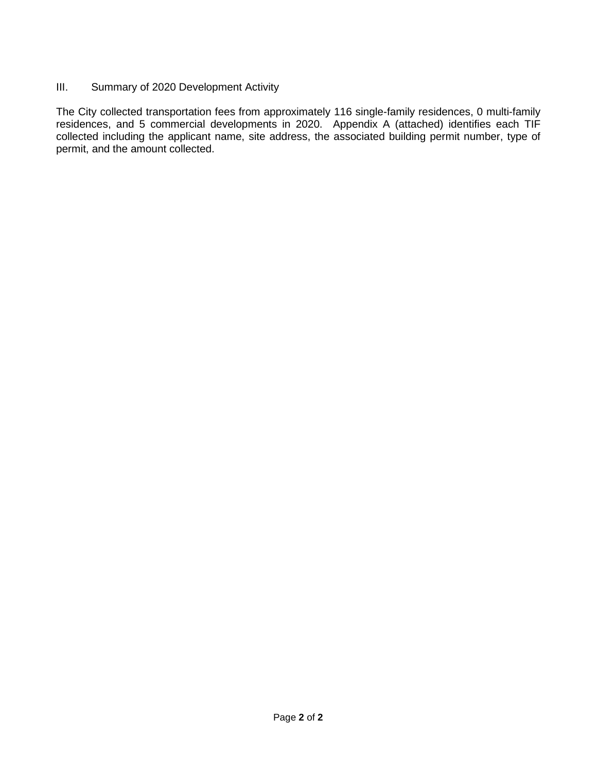### III. Summary of 2020 Development Activity

The City collected transportation fees from approximately 116 single-family residences, 0 multi-family residences, and 5 commercial developments in 2020. Appendix A (attached) identifies each TIF collected including the applicant name, site address, the associated building permit number, type of permit, and the amount collected.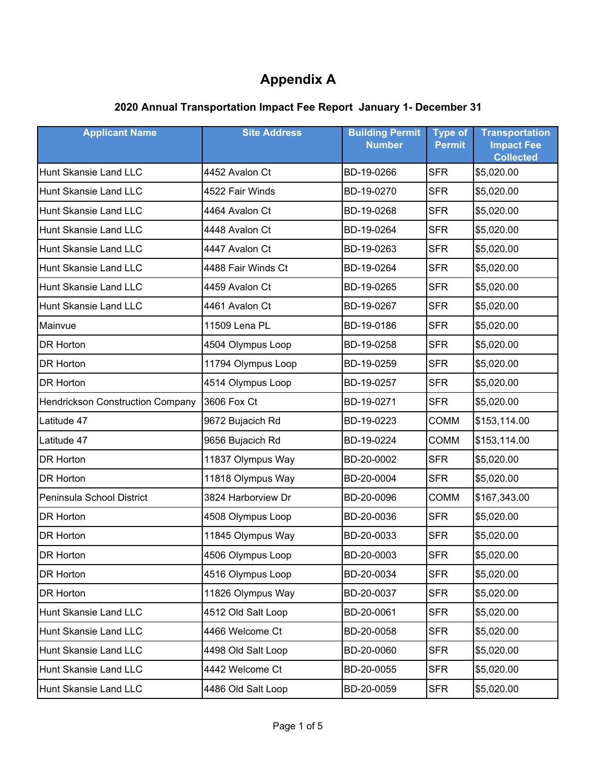| <b>Applicant Name</b>                   | <b>Site Address</b> | <b>Building Permit</b><br><b>Number</b> | <b>Type of</b><br><b>Permit</b> | <b>Transportation</b><br><b>Impact Fee</b><br><b>Collected</b> |
|-----------------------------------------|---------------------|-----------------------------------------|---------------------------------|----------------------------------------------------------------|
| Hunt Skansie Land LLC                   | 4452 Avalon Ct      | BD-19-0266                              | <b>SFR</b>                      | \$5,020.00                                                     |
| <b>Hunt Skansie Land LLC</b>            | 4522 Fair Winds     | BD-19-0270                              | <b>SFR</b>                      | \$5,020.00                                                     |
| <b>Hunt Skansie Land LLC</b>            | 4464 Avalon Ct      | BD-19-0268                              | <b>SFR</b>                      | \$5,020.00                                                     |
| Hunt Skansie Land LLC                   | 4448 Avalon Ct      | BD-19-0264                              | <b>SFR</b>                      | \$5,020.00                                                     |
| Hunt Skansie Land LLC                   | 4447 Avalon Ct      | BD-19-0263                              | <b>SFR</b>                      | \$5,020.00                                                     |
| Hunt Skansie Land LLC                   | 4488 Fair Winds Ct  | BD-19-0264                              | <b>SFR</b>                      | \$5,020.00                                                     |
| Hunt Skansie Land LLC                   | 4459 Avalon Ct      | BD-19-0265                              | <b>SFR</b>                      | \$5,020.00                                                     |
| Hunt Skansie Land LLC                   | 4461 Avalon Ct      | BD-19-0267                              | <b>SFR</b>                      | \$5,020.00                                                     |
| Mainvue                                 | 11509 Lena PL       | BD-19-0186                              | <b>SFR</b>                      | \$5,020.00                                                     |
| DR Horton                               | 4504 Olympus Loop   | BD-19-0258                              | <b>SFR</b>                      | \$5,020.00                                                     |
| DR Horton                               | 11794 Olympus Loop  | BD-19-0259                              | <b>SFR</b>                      | \$5,020.00                                                     |
| <b>DR Horton</b>                        | 4514 Olympus Loop   | BD-19-0257                              | <b>SFR</b>                      | \$5,020.00                                                     |
| <b>Hendrickson Construction Company</b> | 3606 Fox Ct         | BD-19-0271                              | <b>SFR</b>                      | \$5,020.00                                                     |
| Latitude 47                             | 9672 Bujacich Rd    | BD-19-0223                              | <b>COMM</b>                     | \$153,114.00                                                   |
| Latitude 47                             | 9656 Bujacich Rd    | BD-19-0224                              | <b>COMM</b>                     | \$153,114.00                                                   |
| DR Horton                               | 11837 Olympus Way   | BD-20-0002                              | <b>SFR</b>                      | \$5,020.00                                                     |
| DR Horton                               | 11818 Olympus Way   | BD-20-0004                              | <b>SFR</b>                      | \$5,020.00                                                     |
| Peninsula School District               | 3824 Harborview Dr  | BD-20-0096                              | <b>COMM</b>                     | \$167,343.00                                                   |
| <b>DR Horton</b>                        | 4508 Olympus Loop   | BD-20-0036                              | <b>SFR</b>                      | \$5,020.00                                                     |
| DR Horton                               | 11845 Olympus Way   | BD-20-0033                              | <b>SFR</b>                      | \$5,020.00                                                     |
| DR Horton                               | 4506 Olympus Loop   | BD-20-0003                              | <b>SFR</b>                      | \$5,020.00                                                     |
| DR Horton                               | 4516 Olympus Loop   | BD-20-0034                              | <b>SFR</b>                      | \$5,020.00                                                     |
| DR Horton                               | 11826 Olympus Way   | BD-20-0037                              | <b>SFR</b>                      | \$5,020.00                                                     |
| Hunt Skansie Land LLC                   | 4512 Old Salt Loop  | BD-20-0061                              | <b>SFR</b>                      | \$5,020.00                                                     |
| Hunt Skansie Land LLC                   | 4466 Welcome Ct     | BD-20-0058                              | <b>SFR</b>                      | \$5,020.00                                                     |
| Hunt Skansie Land LLC                   | 4498 Old Salt Loop  | BD-20-0060                              | <b>SFR</b>                      | \$5,020.00                                                     |
| Hunt Skansie Land LLC                   | 4442 Welcome Ct     | BD-20-0055                              | <b>SFR</b>                      | \$5,020.00                                                     |
| Hunt Skansie Land LLC                   | 4486 Old Salt Loop  | BD-20-0059                              | <b>SFR</b>                      | \$5,020.00                                                     |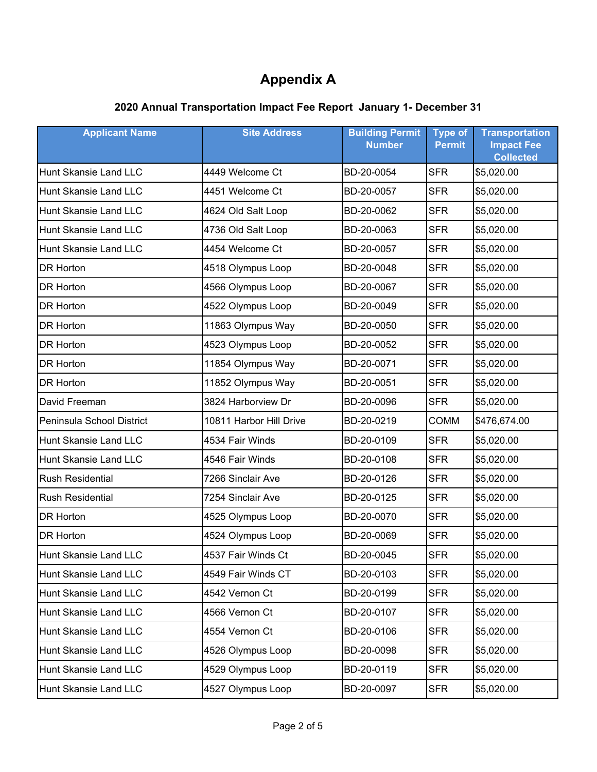| <b>Applicant Name</b>     | <b>Site Address</b>     | <b>Building Permit</b><br><b>Number</b> | <b>Type of</b><br><b>Permit</b> | <b>Transportation</b><br><b>Impact Fee</b><br><b>Collected</b> |
|---------------------------|-------------------------|-----------------------------------------|---------------------------------|----------------------------------------------------------------|
| Hunt Skansie Land LLC     | 4449 Welcome Ct         | BD-20-0054                              | <b>SFR</b>                      | \$5,020.00                                                     |
| Hunt Skansie Land LLC     | 4451 Welcome Ct         | BD-20-0057                              | <b>SFR</b>                      | \$5,020.00                                                     |
| Hunt Skansie Land LLC     | 4624 Old Salt Loop      | BD-20-0062                              | <b>SFR</b>                      | \$5,020.00                                                     |
| Hunt Skansie Land LLC     | 4736 Old Salt Loop      | BD-20-0063                              | <b>SFR</b>                      | \$5,020.00                                                     |
| Hunt Skansie Land LLC     | 4454 Welcome Ct         | BD-20-0057                              | <b>SFR</b>                      | \$5,020.00                                                     |
| DR Horton                 | 4518 Olympus Loop       | BD-20-0048                              | <b>SFR</b>                      | \$5,020.00                                                     |
| <b>DR Horton</b>          | 4566 Olympus Loop       | BD-20-0067                              | <b>SFR</b>                      | \$5,020.00                                                     |
| DR Horton                 | 4522 Olympus Loop       | BD-20-0049                              | <b>SFR</b>                      | \$5,020.00                                                     |
| <b>DR Horton</b>          | 11863 Olympus Way       | BD-20-0050                              | <b>SFR</b>                      | \$5,020.00                                                     |
| <b>DR Horton</b>          | 4523 Olympus Loop       | BD-20-0052                              | <b>SFR</b>                      | \$5,020.00                                                     |
| <b>DR Horton</b>          | 11854 Olympus Way       | BD-20-0071                              | <b>SFR</b>                      | \$5,020.00                                                     |
| DR Horton                 | 11852 Olympus Way       | BD-20-0051                              | <b>SFR</b>                      | \$5,020.00                                                     |
| David Freeman             | 3824 Harborview Dr      | BD-20-0096                              | <b>SFR</b>                      | \$5,020.00                                                     |
| Peninsula School District | 10811 Harbor Hill Drive | BD-20-0219                              | <b>COMM</b>                     | \$476,674.00                                                   |
| Hunt Skansie Land LLC     | 4534 Fair Winds         | BD-20-0109                              | <b>SFR</b>                      | \$5,020.00                                                     |
| Hunt Skansie Land LLC     | 4546 Fair Winds         | BD-20-0108                              | <b>SFR</b>                      | \$5,020.00                                                     |
| <b>Rush Residential</b>   | 7266 Sinclair Ave       | BD-20-0126                              | <b>SFR</b>                      | \$5,020.00                                                     |
| <b>Rush Residential</b>   | 7254 Sinclair Ave       | BD-20-0125                              | <b>SFR</b>                      | \$5,020.00                                                     |
| <b>DR Horton</b>          | 4525 Olympus Loop       | BD-20-0070                              | <b>SFR</b>                      | \$5,020.00                                                     |
| DR Horton                 | 4524 Olympus Loop       | BD-20-0069                              | <b>SFR</b>                      | \$5,020.00                                                     |
| Hunt Skansie Land LLC     | 4537 Fair Winds Ct      | BD-20-0045                              | <b>SFR</b>                      | \$5,020.00                                                     |
| Hunt Skansie Land LLC     | 4549 Fair Winds CT      | BD-20-0103                              | <b>SFR</b>                      | \$5,020.00                                                     |
| Hunt Skansie Land LLC     | 4542 Vernon Ct          | BD-20-0199                              | <b>SFR</b>                      | \$5,020.00                                                     |
| Hunt Skansie Land LLC     | 4566 Vernon Ct          | BD-20-0107                              | <b>SFR</b>                      | \$5,020.00                                                     |
| Hunt Skansie Land LLC     | 4554 Vernon Ct          | BD-20-0106                              | <b>SFR</b>                      | \$5,020.00                                                     |
| Hunt Skansie Land LLC     | 4526 Olympus Loop       | BD-20-0098                              | <b>SFR</b>                      | \$5,020.00                                                     |
| Hunt Skansie Land LLC     | 4529 Olympus Loop       | BD-20-0119                              | <b>SFR</b>                      | \$5,020.00                                                     |
| Hunt Skansie Land LLC     | 4527 Olympus Loop       | BD-20-0097                              | <b>SFR</b>                      | \$5,020.00                                                     |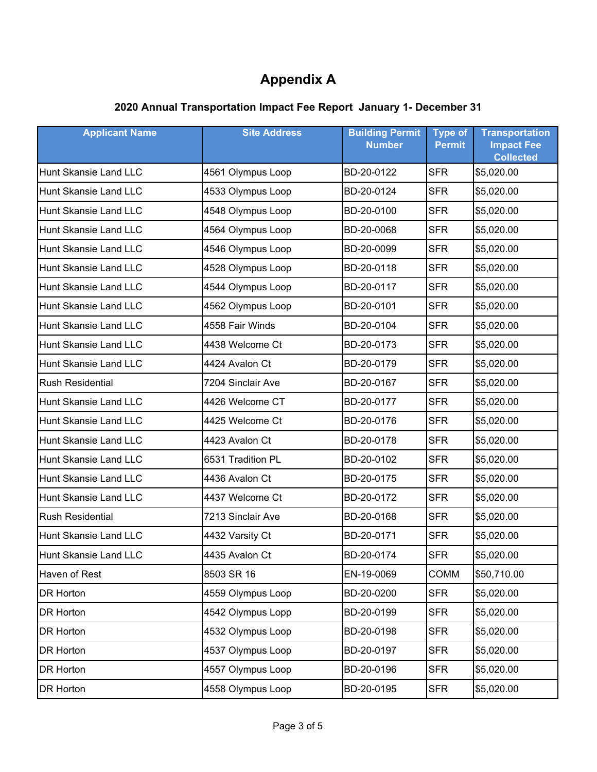| <b>Applicant Name</b>        | <b>Site Address</b> | <b>Building Permit</b><br><b>Number</b> | <b>Type of</b><br><b>Permit</b> | <b>Transportation</b><br><b>Impact Fee</b><br><b>Collected</b> |
|------------------------------|---------------------|-----------------------------------------|---------------------------------|----------------------------------------------------------------|
| Hunt Skansie Land LLC        | 4561 Olympus Loop   | BD-20-0122                              | <b>SFR</b>                      | \$5,020.00                                                     |
| Hunt Skansie Land LLC        | 4533 Olympus Loop   | BD-20-0124                              | <b>SFR</b>                      | \$5,020.00                                                     |
| <b>Hunt Skansie Land LLC</b> | 4548 Olympus Loop   | BD-20-0100                              | <b>SFR</b>                      | \$5,020.00                                                     |
| Hunt Skansie Land LLC        | 4564 Olympus Loop   | BD-20-0068                              | <b>SFR</b>                      | \$5,020.00                                                     |
| Hunt Skansie Land LLC        | 4546 Olympus Loop   | BD-20-0099                              | <b>SFR</b>                      | \$5,020.00                                                     |
| Hunt Skansie Land LLC        | 4528 Olympus Loop   | BD-20-0118                              | <b>SFR</b>                      | \$5,020.00                                                     |
| Hunt Skansie Land LLC        | 4544 Olympus Loop   | BD-20-0117                              | <b>SFR</b>                      | \$5,020.00                                                     |
| Hunt Skansie Land LLC        | 4562 Olympus Loop   | BD-20-0101                              | <b>SFR</b>                      | \$5,020.00                                                     |
| Hunt Skansie Land LLC        | 4558 Fair Winds     | BD-20-0104                              | <b>SFR</b>                      | \$5,020.00                                                     |
| <b>Hunt Skansie Land LLC</b> | 4438 Welcome Ct     | BD-20-0173                              | <b>SFR</b>                      | \$5,020.00                                                     |
| <b>Hunt Skansie Land LLC</b> | 4424 Avalon Ct      | BD-20-0179                              | <b>SFR</b>                      | \$5,020.00                                                     |
| <b>Rush Residential</b>      | 7204 Sinclair Ave   | BD-20-0167                              | <b>SFR</b>                      | \$5,020.00                                                     |
| Hunt Skansie Land LLC        | 4426 Welcome CT     | BD-20-0177                              | <b>SFR</b>                      | \$5,020.00                                                     |
| Hunt Skansie Land LLC        | 4425 Welcome Ct     | BD-20-0176                              | <b>SFR</b>                      | \$5,020.00                                                     |
| Hunt Skansie Land LLC        | 4423 Avalon Ct      | BD-20-0178                              | <b>SFR</b>                      | \$5,020.00                                                     |
| Hunt Skansie Land LLC        | 6531 Tradition PL   | BD-20-0102                              | <b>SFR</b>                      | \$5,020.00                                                     |
| <b>Hunt Skansie Land LLC</b> | 4436 Avalon Ct      | BD-20-0175                              | <b>SFR</b>                      | \$5,020.00                                                     |
| Hunt Skansie Land LLC        | 4437 Welcome Ct     | BD-20-0172                              | <b>SFR</b>                      | \$5,020.00                                                     |
| <b>Rush Residential</b>      | 7213 Sinclair Ave   | BD-20-0168                              | <b>SFR</b>                      | \$5,020.00                                                     |
| Hunt Skansie Land LLC        | 4432 Varsity Ct     | BD-20-0171                              | <b>SFR</b>                      | \$5,020.00                                                     |
| <b>Hunt Skansie Land LLC</b> | 4435 Avalon Ct      | BD-20-0174                              | <b>SFR</b>                      | \$5,020.00                                                     |
| Haven of Rest                | 8503 SR 16          | EN-19-0069                              | <b>COMM</b>                     | \$50,710.00                                                    |
| DR Horton                    | 4559 Olympus Loop   | BD-20-0200                              | <b>SFR</b>                      | \$5,020.00                                                     |
| DR Horton                    | 4542 Olympus Lopp   | BD-20-0199                              | <b>SFR</b>                      | \$5,020.00                                                     |
| DR Horton                    | 4532 Olympus Loop   | BD-20-0198                              | <b>SFR</b>                      | \$5,020.00                                                     |
| DR Horton                    | 4537 Olympus Loop   | BD-20-0197                              | <b>SFR</b>                      | \$5,020.00                                                     |
| DR Horton                    | 4557 Olympus Loop   | BD-20-0196                              | <b>SFR</b>                      | \$5,020.00                                                     |
| DR Horton                    | 4558 Olympus Loop   | BD-20-0195                              | <b>SFR</b>                      | \$5,020.00                                                     |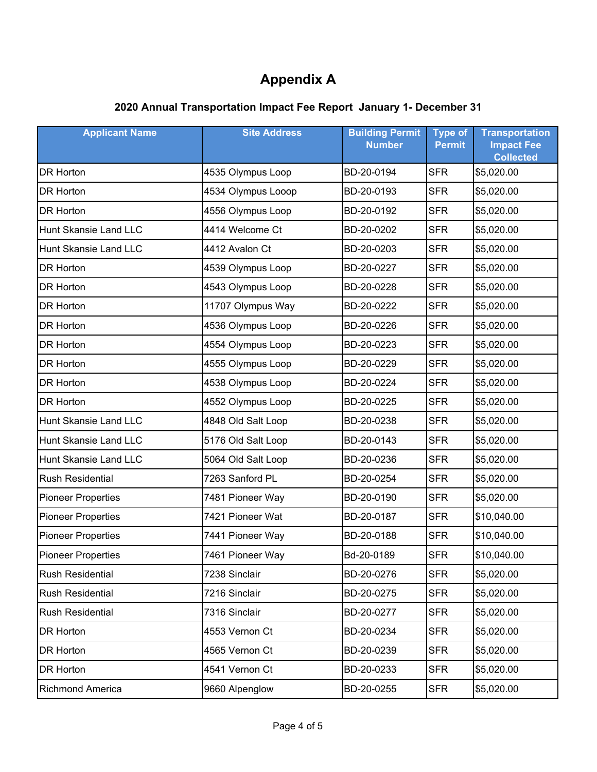| <b>Applicant Name</b>        | <b>Site Address</b> | <b>Building Permit</b><br><b>Number</b> | <b>Type of</b><br><b>Permit</b> | <b>Transportation</b><br><b>Impact Fee</b><br><b>Collected</b> |
|------------------------------|---------------------|-----------------------------------------|---------------------------------|----------------------------------------------------------------|
| DR Horton                    | 4535 Olympus Loop   | BD-20-0194                              | <b>SFR</b>                      | \$5,020.00                                                     |
| DR Horton                    | 4534 Olympus Looop  | BD-20-0193                              | <b>SFR</b>                      | \$5,020.00                                                     |
| DR Horton                    | 4556 Olympus Loop   | BD-20-0192                              | <b>SFR</b>                      | \$5,020.00                                                     |
| Hunt Skansie Land LLC        | 4414 Welcome Ct     | BD-20-0202                              | <b>SFR</b>                      | \$5,020.00                                                     |
| <b>Hunt Skansie Land LLC</b> | 4412 Avalon Ct      | BD-20-0203                              | <b>SFR</b>                      | \$5,020.00                                                     |
| DR Horton                    | 4539 Olympus Loop   | BD-20-0227                              | <b>SFR</b>                      | \$5,020.00                                                     |
| <b>DR Horton</b>             | 4543 Olympus Loop   | BD-20-0228                              | <b>SFR</b>                      | \$5,020.00                                                     |
| <b>DR Horton</b>             | 11707 Olympus Way   | BD-20-0222                              | <b>SFR</b>                      | \$5,020.00                                                     |
| <b>DR Horton</b>             | 4536 Olympus Loop   | BD-20-0226                              | <b>SFR</b>                      | \$5,020.00                                                     |
| DR Horton                    | 4554 Olympus Loop   | BD-20-0223                              | <b>SFR</b>                      | \$5,020.00                                                     |
| <b>DR Horton</b>             | 4555 Olympus Loop   | BD-20-0229                              | <b>SFR</b>                      | \$5,020.00                                                     |
| DR Horton                    | 4538 Olympus Loop   | BD-20-0224                              | <b>SFR</b>                      | \$5,020.00                                                     |
| DR Horton                    | 4552 Olympus Loop   | BD-20-0225                              | <b>SFR</b>                      | \$5,020.00                                                     |
| Hunt Skansie Land LLC        | 4848 Old Salt Loop  | BD-20-0238                              | <b>SFR</b>                      | \$5,020.00                                                     |
| Hunt Skansie Land LLC        | 5176 Old Salt Loop  | BD-20-0143                              | <b>SFR</b>                      | \$5,020.00                                                     |
| Hunt Skansie Land LLC        | 5064 Old Salt Loop  | BD-20-0236                              | <b>SFR</b>                      | \$5,020.00                                                     |
| <b>Rush Residential</b>      | 7263 Sanford PL     | BD-20-0254                              | <b>SFR</b>                      | \$5,020.00                                                     |
| <b>Pioneer Properties</b>    | 7481 Pioneer Way    | BD-20-0190                              | <b>SFR</b>                      | \$5,020.00                                                     |
| <b>Pioneer Properties</b>    | 7421 Pioneer Wat    | BD-20-0187                              | <b>SFR</b>                      | \$10,040.00                                                    |
| <b>Pioneer Properties</b>    | 7441 Pioneer Way    | BD-20-0188                              | <b>SFR</b>                      | \$10,040.00                                                    |
| <b>Pioneer Properties</b>    | 7461 Pioneer Way    | Bd-20-0189                              | <b>SFR</b>                      | \$10,040.00                                                    |
| <b>Rush Residential</b>      | 7238 Sinclair       | BD-20-0276                              | <b>SFR</b>                      | \$5,020.00                                                     |
| Rush Residential             | 7216 Sinclair       | BD-20-0275                              | <b>SFR</b>                      | \$5,020.00                                                     |
| Rush Residential             | 7316 Sinclair       | BD-20-0277                              | <b>SFR</b>                      | \$5,020.00                                                     |
| DR Horton                    | 4553 Vernon Ct      | BD-20-0234                              | <b>SFR</b>                      | \$5,020.00                                                     |
| DR Horton                    | 4565 Vernon Ct      | BD-20-0239                              | <b>SFR</b>                      | \$5,020.00                                                     |
| DR Horton                    | 4541 Vernon Ct      | BD-20-0233                              | <b>SFR</b>                      | \$5,020.00                                                     |
| Richmond America             | 9660 Alpenglow      | BD-20-0255                              | <b>SFR</b>                      | \$5,020.00                                                     |